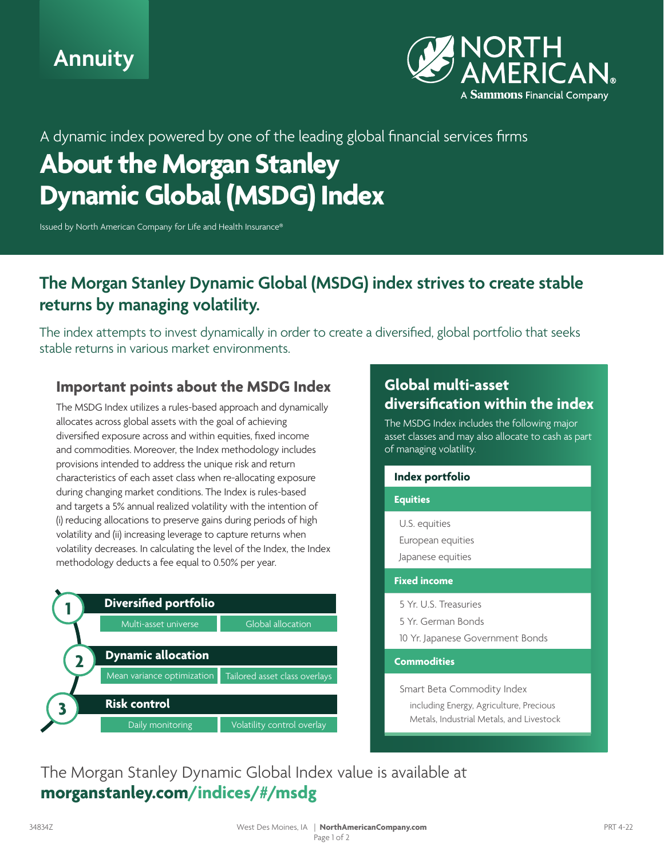



### A dynamic index powered by one of the leading global financial services firms

# **About the Morgan Stanley Dynamic Global (MSDG) Index**

Issued by North American Company for Life and Health Insurance®

## **The Morgan Stanley Dynamic Global (MSDG) index strives to create stable returns by managing volatility.**

The index attempts to invest dynamically in order to create a diversified, global portfolio that seeks stable returns in various market environments.

#### **Important points about the MSDG Index**

The MSDG Index utilizes a rules-based approach and dynamically allocates across global assets with the goal of achieving diversified exposure across and within equities, fixed income and commodities. Moreover, the Index methodology includes provisions intended to address the unique risk and return characteristics of each asset class when re-allocating exposure during changing market conditions. The Index is rules-based and targets a 5% annual realized volatility with the intention of (i) reducing allocations to preserve gains during periods of high volatility and (ii) increasing leverage to capture returns when volatility decreases. In calculating the level of the Index, the Index methodology deducts a fee equal to 0.50% per year.



#### **Global multi-asset diversification within the index**

The MSDG Index includes the following major asset classes and may also allocate to cash as part of managing volatility.

| Index portfolio                                                                 |
|---------------------------------------------------------------------------------|
| <b>Equities</b>                                                                 |
| U.S. equities<br>European equities<br>Japanese equities                         |
| <b>Fixed income</b>                                                             |
| 5 Yr. U.S. Treasuries<br>5 Yr. German Bonds<br>10 Yr. Japanese Government Bonds |
| <b>Commodities</b>                                                              |
| Smart Beta Commodity Index<br>including Energy Agriculture Precious             |

 including Energy, Agriculture, Precious Metals, Industrial Metals, and Livestock

The Morgan Stanley Dynamic Global Index value is available at **morganstanley.com/indices/#/msdg**